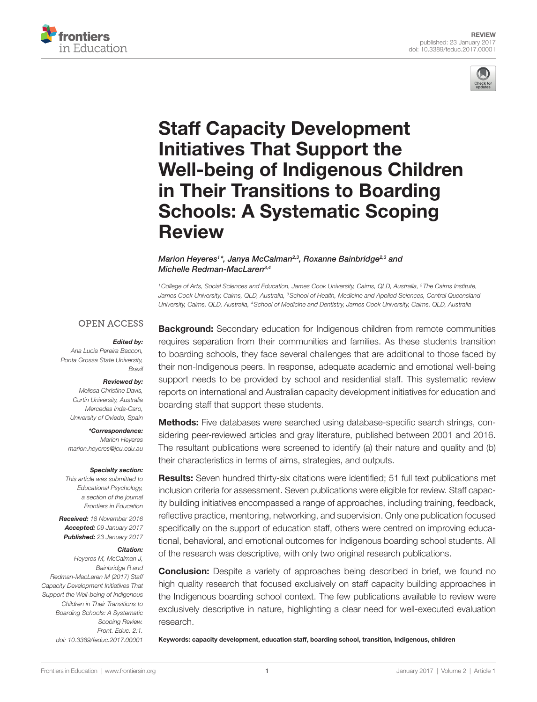

# [Staff Capacity Development](http://www.frontiersin.org/Journal/10.3389/feduc.2017.00001/abstract)  [initiatives That Support the](http://www.frontiersin.org/Journal/10.3389/feduc.2017.00001/abstract)  [well-being of indigenous Children](http://www.frontiersin.org/Journal/10.3389/feduc.2017.00001/abstract)  [in Their Transitions to Boarding](http://www.frontiersin.org/Journal/10.3389/feduc.2017.00001/abstract)  [Schools: A Systematic Scoping](http://www.frontiersin.org/Journal/10.3389/feduc.2017.00001/abstract)  [Review](http://www.frontiersin.org/Journal/10.3389/feduc.2017.00001/abstract)

#### *[Marion Heyeres](http://loop.frontiersin.org/people/356770)1 \*, [Janya McCalman](http://loop.frontiersin.org/people/324838)2,3, [Roxanne Bainbridge](http://loop.frontiersin.org/people/353049)2,3 and [Michelle Redman-MacLaren](http://loop.frontiersin.org/people/326389)3,4*

*1College of Arts, Social Sciences and Education, James Cook University, Cairns, QLD, Australia, 2 The Cairns Institute,*  James Cook University, Cairns, QLD, Australia, <sup>3</sup> School of Health, Medicine and Applied Sciences, Central Queensland *University, Cairns, QLD, Australia, 4School of Medicine and Dentistry, James Cook University, Cairns, QLD, Australia*

#### **OPEN ACCESS**

#### *Edited by:*

*Ana Lucia Pereira Baccon, Ponta Grossa State University, Brazil*

rontiers

#### *Reviewed by:*

*Melissa Christine Davis, Curtin University, Australia Mercedes Inda-Caro, University of Oviedo, Spain*

*\*Correspondence:*

*Marion Heyeres [marion.heyeres@jcu.edu.au](mailto:marion.heyeres@jcu.edu.au)*

#### *Specialty section:*

*This article was submitted to Educational Psychology, a section of the journal Frontiers in Education*

*Received: 18 November 2016 Accepted: 09 January 2017 Published: 23 January 2017*

#### *Citation:*

*Heyeres M, McCalman J, Bainbridge R and Redman-MacLaren M (2017) Staff Capacity Development Initiatives That Support the Well-being of Indigenous Children in Their Transitions to Boarding Schools: A Systematic Scoping Review. Front. Educ. 2:1. doi: [10.3389/feduc.2017.00001](https://doi.org/10.3389/feduc.2017.00001)*

**Background:** Secondary education for Indigenous children from remote communities requires separation from their communities and families. As these students transition to boarding schools, they face several challenges that are additional to those faced by their non-Indigenous peers. In response, adequate academic and emotional well-being support needs to be provided by school and residential staff. This systematic review reports on international and Australian capacity development initiatives for education and boarding staff that support these students.

Methods: Five databases were searched using database-specific search strings, considering peer-reviewed articles and gray literature, published between 2001 and 2016. The resultant publications were screened to identify (a) their nature and quality and (b) their characteristics in terms of aims, strategies, and outputs.

Results: Seven hundred thirty-six citations were identified; 51 full text publications met inclusion criteria for assessment. Seven publications were eligible for review. Staff capacity building initiatives encompassed a range of approaches, including training, feedback, reflective practice, mentoring, networking, and supervision. Only one publication focused specifically on the support of education staff, others were centred on improving educational, behavioral, and emotional outcomes for Indigenous boarding school students. All of the research was descriptive, with only two original research publications.

**Conclusion:** Despite a variety of approaches being described in brief, we found no high quality research that focused exclusively on staff capacity building approaches in the Indigenous boarding school context. The few publications available to review were exclusively descriptive in nature, highlighting a clear need for well-executed evaluation research.

Keywords: capacity development, education staff, boarding school, transition, Indigenous, children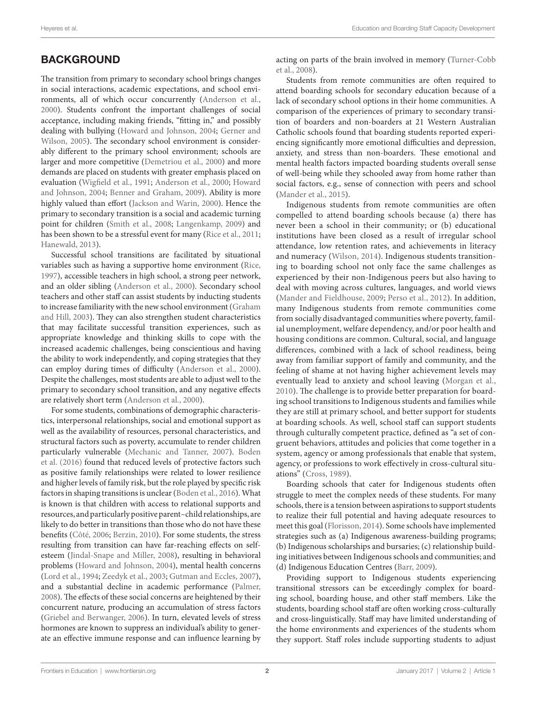# **BACKGROUND**

The transition from primary to secondary school brings changes in social interactions, academic expectations, and school environments, all of which occur concurrently ([Anderson et al.,](#page-8-0) [2000\)](#page-8-0). Students confront the important challenges of social acceptance, including making friends, "fitting in," and possibly dealing with bullying ([Howard and Johnson, 2004](#page-9-0); [Gerner and](#page-8-1) [Wilson, 2005](#page-8-1)). The secondary school environment is considerably different to the primary school environment; schools are larger and more competitive [\(Demetriou et al., 2000](#page-8-2)) and more demands are placed on students with greater emphasis placed on evaluation ([Wigfield et al., 1991](#page-9-1); [Anderson et al., 2000;](#page-8-0) [Howard](#page-9-0) [and Johnson, 2004;](#page-9-0) [Benner and Graham, 2009\)](#page-8-3). Ability is more highly valued than effort [\(Jackson and Warin, 2000\)](#page-9-2). Hence the primary to secondary transition is a social and academic turning point for children [\(Smith et al., 2008;](#page-9-3) [Langenkamp, 2009](#page-9-4)) and has been shown to be a stressful event for many [\(Rice et al., 2011;](#page-9-5) [Hanewald, 2013](#page-9-6)).

Successful school transitions are facilitated by situational variables such as having a supportive home environment [\(Rice,](#page-9-7) [1997\)](#page-9-7), accessible teachers in high school, a strong peer network, and an older sibling ([Anderson et al., 2000\)](#page-8-0). Secondary school teachers and other staff can assist students by inducting students to increase familiarity with the new school environment ([Graham](#page-8-4) [and Hill, 2003](#page-8-4)). They can also strengthen student characteristics that may facilitate successful transition experiences, such as appropriate knowledge and thinking skills to cope with the increased academic challenges, being conscientious and having the ability to work independently, and coping strategies that they can employ during times of difficulty [\(Anderson et al., 2000\)](#page-8-0). Despite the challenges, most students are able to adjust well to the primary to secondary school transition, and any negative effects are relatively short term [\(Anderson et al., 2000](#page-8-0)).

For some students, combinations of demographic characteristics, interpersonal relationships, social and emotional support as well as the availability of resources, personal characteristics, and structural factors such as poverty, accumulate to render children particularly vulnerable ([Mechanic and Tanner, 2007](#page-9-8)). [Boden](#page-8-5) [et al. \(2016\)](#page-8-5) found that reduced levels of protective factors such as positive family relationships were related to lower resilience and higher levels of family risk, but the role played by specific risk factors in shaping transitions is unclear [\(Boden et al., 2016](#page-8-5)). What is known is that children with access to relational supports and resources, and particularly positive parent–child relationships, are likely to do better in transitions than those who do not have these benefits [\(Côté, 2006;](#page-8-6) [Berzin, 2010\)](#page-8-7). For some students, the stress resulting from transition can have far-reaching effects on selfesteem [\(Jindal-Snape and Miller, 2008](#page-9-9)), resulting in behavioral problems ([Howard and Johnson, 2004\)](#page-9-0), mental health concerns ([Lord et al., 1994](#page-9-10); [Zeedyk et al., 2003;](#page-9-11) [Gutman and Eccles, 2007\)](#page-8-8), and a substantial decline in academic performance ([Palmer,](#page-9-12) [2008\)](#page-9-12). The effects of these social concerns are heightened by their concurrent nature, producing an accumulation of stress factors ([Griebel and Berwanger, 2006](#page-8-9)). In turn, elevated levels of stress hormones are known to suppress an individual's ability to generate an effective immune response and can influence learning by

acting on parts of the brain involved in memory ([Turner-Cobb](#page-9-13)  [et al., 2008\)](#page-9-13).

Students from remote communities are often required to attend boarding schools for secondary education because of a lack of secondary school options in their home communities. A comparison of the experiences of primary to secondary transition of boarders and non-boarders at 21 Western Australian Catholic schools found that boarding students reported experiencing significantly more emotional difficulties and depression, anxiety, and stress than non-boarders. These emotional and mental health factors impacted boarding students overall sense of well-being while they schooled away from home rather than social factors, e.g., sense of connection with peers and school [\(Mander et al., 2015\)](#page-9-14).

Indigenous students from remote communities are often compelled to attend boarding schools because (a) there has never been a school in their community; or (b) educational institutions have been closed as a result of irregular school attendance, low retention rates, and achievements in literacy and numeracy ([Wilson, 2014](#page-9-15)). Indigenous students transitioning to boarding school not only face the same challenges as experienced by their non-Indigenous peers but also having to deal with moving across cultures, languages, and world views ([Mander and Fieldhouse, 2009](#page-9-16); [Perso et al., 2012\)](#page-9-17). In addition, many Indigenous students from remote communities come from socially disadvantaged communities where poverty, familial unemployment, welfare dependency, and/or poor health and housing conditions are common. Cultural, social, and language differences, combined with a lack of school readiness, being away from familiar support of family and community, and the feeling of shame at not having higher achievement levels may eventually lead to anxiety and school leaving ([Morgan et al.,](#page-9-18)  [2010\)](#page-9-18). The challenge is to provide better preparation for boarding school transitions to Indigenous students and families while they are still at primary school, and better support for students at boarding schools. As well, school staff can support students through culturally competent practice, defined as "a set of congruent behaviors, attitudes and policies that come together in a system, agency or among professionals that enable that system, agency, or professions to work effectively in cross-cultural situations" ([Cross, 1989](#page-8-10)).

Boarding schools that cater for Indigenous students often struggle to meet the complex needs of these students. For many schools, there is a tension between aspirations to support students to realize their full potential and having adequate resources to meet this goal [\(Florisson, 2014\)](#page-8-11). Some schools have implemented strategies such as (a) Indigenous awareness-building programs; (b) Indigenous scholarships and bursaries; (c) relationship building initiatives between Indigenous schools and communities; and (d) Indigenous Education Centres [\(Barr, 2009](#page-8-12)).

Providing support to Indigenous students experiencing transitional stressors can be exceedingly complex for boarding school, boarding house, and other staff members. Like the students, boarding school staff are often working cross-culturally and cross-linguistically. Staff may have limited understanding of the home environments and experiences of the students whom they support. Staff roles include supporting students to adjust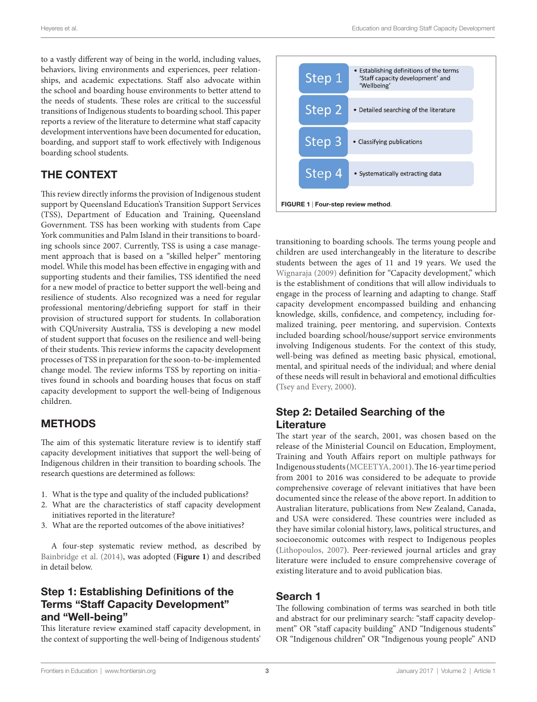to a vastly different way of being in the world, including values, behaviors, living environments and experiences, peer relationships, and academic expectations. Staff also advocate within the school and boarding house environments to better attend to the needs of students. These roles are critical to the successful transitions of Indigenous students to boarding school. This paper reports a review of the literature to determine what staff capacity development interventions have been documented for education, boarding, and support staff to work effectively with Indigenous boarding school students.

# THE CONTEXT

This review directly informs the provision of Indigenous student support by Queensland Education's Transition Support Services (TSS), Department of Education and Training, Queensland Government. TSS has been working with students from Cape York communities and Palm Island in their transitions to boarding schools since 2007. Currently, TSS is using a case management approach that is based on a "skilled helper" mentoring model. While this model has been effective in engaging with and supporting students and their families, TSS identified the need for a new model of practice to better support the well-being and resilience of students. Also recognized was a need for regular professional mentoring/debriefing support for staff in their provision of structured support for students. In collaboration with CQUniversity Australia, TSS is developing a new model of student support that focuses on the resilience and well-being of their students. This review informs the capacity development processes of TSS in preparation for the soon-to-be-implemented change model. The review informs TSS by reporting on initiatives found in schools and boarding houses that focus on staff capacity development to support the well-being of Indigenous children.

# METHODS

The aim of this systematic literature review is to identify staff capacity development initiatives that support the well-being of Indigenous children in their transition to boarding schools. The research questions are determined as follows:

- 1. What is the type and quality of the included publications?
- 2. What are the characteristics of staff capacity development initiatives reported in the literature?
- 3. What are the reported outcomes of the above initiatives?

A four-step systematic review method, as described by [Bainbridge et al. \(2014\)](#page-8-13), was adopted (**[Figure 1](#page-2-0)**) and described in detail below.

#### Step 1: Establishing Definitions of the Terms "Staff Capacity Development" and "Well-being"

This literature review examined staff capacity development, in the context of supporting the well-being of Indigenous students'



<span id="page-2-0"></span>transitioning to boarding schools. The terms young people and children are used interchangeably in the literature to describe students between the ages of 11 and 19 years. We used the [Wignaraja \(2009\)](#page-9-19) definition for "Capacity development," which is the establishment of conditions that will allow individuals to engage in the process of learning and adapting to change. Staff capacity development encompassed building and enhancing knowledge, skills, confidence, and competency, including formalized training, peer mentoring, and supervision. Contexts included boarding school/house/support service environments involving Indigenous students. For the context of this study, well-being was defined as meeting basic physical, emotional, mental, and spiritual needs of the individual; and where denial of these needs will result in behavioral and emotional difficulties [\(Tsey and Every, 2000\)](#page-9-20).

#### Step 2: Detailed Searching of the **Literature**

The start year of the search, 2001, was chosen based on the release of the Ministerial Council on Education, Employment, Training and Youth Affairs report on multiple pathways for Indigenous students ([MCEETYA, 2001](#page-9-21)). The 16-year time period from 2001 to 2016 was considered to be adequate to provide comprehensive coverage of relevant initiatives that have been documented since the release of the above report. In addition to Australian literature, publications from New Zealand, Canada, and USA were considered. These countries were included as they have similar colonial history, laws, political structures, and socioeconomic outcomes with respect to Indigenous peoples ([Lithopoulos, 2007](#page-9-22)). Peer-reviewed journal articles and gray literature were included to ensure comprehensive coverage of existing literature and to avoid publication bias.

#### Search 1

The following combination of terms was searched in both title and abstract for our preliminary search: "staff capacity development" OR "staff capacity building" AND "Indigenous students" OR "Indigenous children" OR "Indigenous young people" AND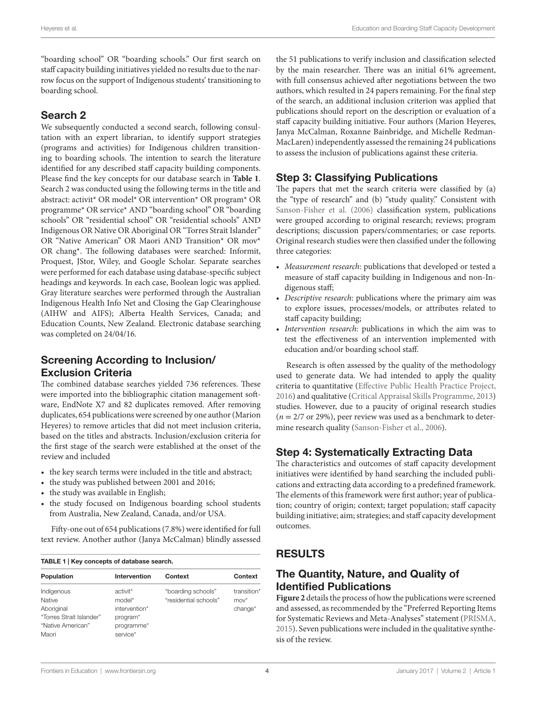"boarding school" OR "boarding schools." Our first search on staff capacity building initiatives yielded no results due to the narrow focus on the support of Indigenous students' transitioning to boarding school.

#### Search 2

We subsequently conducted a second search, following consultation with an expert librarian, to identify support strategies (programs and activities) for Indigenous children transitioning to boarding schools. The intention to search the literature identified for any described staff capacity building components. Please find the key concepts for our database search in **[Table 1](#page-3-0)**. Search 2 was conducted using the following terms in the title and abstract: activit\* OR model\* OR intervention\* OR program\* OR programme\* OR service\* AND "boarding school" OR "boarding schools" OR "residential school" OR "residential schools" AND Indigenous OR Native OR Aboriginal OR "Torres Strait Islander" OR "Native American" OR Maori AND Transition\* OR mov\* OR chang\*. The following databases were searched: Informit, Proquest, JStor, Wiley, and Google Scholar. Separate searches were performed for each database using database-specific subject headings and keywords. In each case, Boolean logic was applied. Gray literature searches were performed through the Australian Indigenous Health Info Net and Closing the Gap Clearinghouse (AIHW and AIFS); Alberta Health Services, Canada; and Education Counts, New Zealand. Electronic database searching was completed on 24/04/16.

# Screening According to Inclusion/ Exclusion Criteria

The combined database searches yielded 736 references. These were imported into the bibliographic citation management software, EndNote X7 and 82 duplicates removed. After removing duplicates, 654 publications were screened by one author (Marion Heyeres) to remove articles that did not meet inclusion criteria, based on the titles and abstracts. Inclusion/exclusion criteria for the first stage of the search were established at the onset of the review and included

- the key search terms were included in the title and abstract;
- the study was published between 2001 and 2016;
- the study was available in English;
- the study focused on Indigenous boarding school students from Australia, New Zealand, Canada, and/or USA.

Fifty-one out of 654 publications (7.8%) were identified for full text review. Another author (Janya McCalman) blindly assessed

<span id="page-3-0"></span>

| TABLE 1   Key concepts of database search.                                                          |                                                                                                   |                                             |                                   |  |
|-----------------------------------------------------------------------------------------------------|---------------------------------------------------------------------------------------------------|---------------------------------------------|-----------------------------------|--|
| Population                                                                                          | Intervention                                                                                      | Context                                     | Context                           |  |
| Indigenous<br><b>Native</b><br>Aboriginal<br>"Torres Strait Islander"<br>"Native American"<br>Maori | activit <sup>*</sup><br>model*<br>intervention*<br>program <sup>*</sup><br>programme*<br>service* | "boarding schools"<br>"residential schools" | transition*<br>$mov^*$<br>change* |  |

the 51 publications to verify inclusion and classification selected by the main researcher. There was an initial 61% agreement, with full consensus achieved after negotiations between the two authors, which resulted in 24 papers remaining. For the final step of the search, an additional inclusion criterion was applied that publications should report on the description or evaluation of a staff capacity building initiative. Four authors (Marion Heyeres, Janya McCalman, Roxanne Bainbridge, and Michelle Redman-MacLaren) independently assessed the remaining 24 publications to assess the inclusion of publications against these criteria.

### Step 3: Classifying Publications

The papers that met the search criteria were classified by (a) the "type of research" and (b) "study quality." Consistent with [Sanson-Fisher et al. \(2006\)](#page-9-23) classification system, publications were grouped according to original research; reviews; program descriptions; discussion papers/commentaries; or case reports. Original research studies were then classified under the following three categories:

- *Measurement research*: publications that developed or tested a measure of staff capacity building in Indigenous and non-Indigenous staff;
- *Descriptive research*: publications where the primary aim was to explore issues, processes/models, or attributes related to staff capacity building;
- *Intervention research*: publications in which the aim was to test the effectiveness of an intervention implemented with education and/or boarding school staff.

Research is often assessed by the quality of the methodology used to generate data. We had intended to apply the quality criteria to quantitative [\(Effective Public Health Practice Project,](#page-8-14)  [2016](#page-8-14)) and qualitative ([Critical Appraisal Skills Programme, 2013\)](#page-8-15) studies. However, due to a paucity of original research studies (*n* = 2/7 or 29%), peer review was used as a benchmark to determine research quality [\(Sanson-Fisher et al., 2006\)](#page-9-23).

#### Step 4: Systematically Extracting Data

The characteristics and outcomes of staff capacity development initiatives were identified by hand searching the included publications and extracting data according to a predefined framework. The elements of this framework were first author; year of publication; country of origin; context; target population; staff capacity building initiative; aim; strategies; and staff capacity development outcomes.

# RESULTS

### The Quantity, Nature, and Quality of Identified Publications

**[Figure 2](#page-4-0)** details the process of how the publications were screened and assessed, as recommended by the "Preferred Reporting Items for Systematic Reviews and Meta-Analyses" statement ([PRISMA,](#page-9-24)  [2015](#page-9-24)). Seven publications were included in the qualitative synthesis of the review.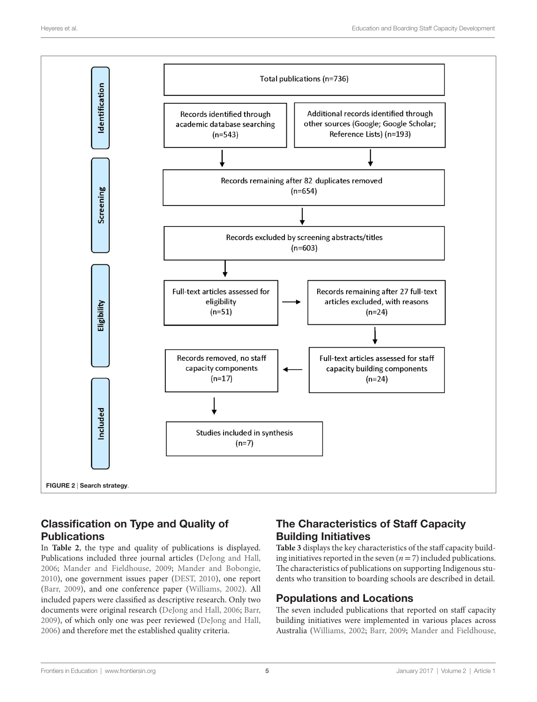

# <span id="page-4-0"></span>Classification on Type and Quality of **Publications**

In **[Table 2](#page-5-0)**, the type and quality of publications is displayed. Publications included three journal articles [\(DeJong and Hall,](#page-8-16) [2006;](#page-8-16) [Mander and Fieldhouse, 2009](#page-9-16); [Mander and Bobongie,](#page-9-25) [2010\)](#page-9-25), one government issues paper [\(DEST, 2010\)](#page-8-17), one report ([Barr, 2009](#page-8-12)), and one conference paper ([Williams, 2002](#page-9-26)). All included papers were classified as descriptive research. Only two documents were original research ([DeJong and Hall, 2006](#page-8-16); [Barr,](#page-8-12) [2009\)](#page-8-12), of which only one was peer reviewed [\(DeJong and Hall,](#page-8-16) [2006\)](#page-8-16) and therefore met the established quality criteria.

# The Characteristics of Staff Capacity Building Initiatives

**[Table 3](#page-6-0)** displays the key characteristics of the staff capacity building initiatives reported in the seven  $(n=7)$  included publications. The characteristics of publications on supporting Indigenous students who transition to boarding schools are described in detail.

# Populations and Locations

The seven included publications that reported on staff capacity building initiatives were implemented in various places across Australia [\(Williams, 2002;](#page-9-26) [Barr, 2009](#page-8-12); [Mander and Fieldhouse,](#page-9-16)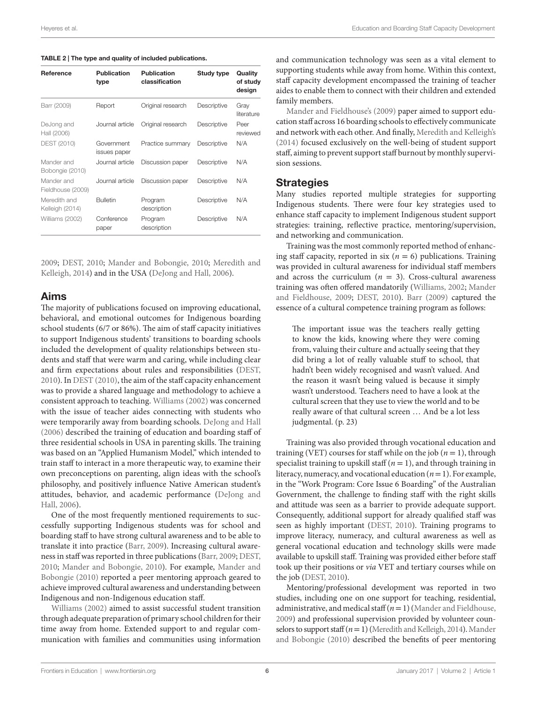<span id="page-5-0"></span>TABLE 2 | The type and quality of included publications.

| Reference                       | <b>Publication</b><br>type | <b>Publication</b><br>classification | Study type  | Quality<br>of study<br>design |
|---------------------------------|----------------------------|--------------------------------------|-------------|-------------------------------|
| Barr (2009)                     | Report                     | Original research                    | Descriptive | Gray<br>literature            |
| DeJong and<br>Hall (2006)       | Journal article            | Original research                    | Descriptive | Peer<br>reviewed              |
| DEST (2010)                     | Government<br>issues paper | Practice summary                     | Descriptive | N/A                           |
| Mander and<br>Bobongie (2010)   | Journal article            | Discussion paper                     | Descriptive | N/A                           |
| Mander and<br>Fieldhouse (2009) | Journal article            | Discussion paper                     | Descriptive | N/A                           |
| Meredith and<br>Kelleigh (2014) | <b>Bulletin</b>            | Program<br>description               | Descriptive | N/A                           |
| Williams (2002)                 | Conference<br>paper        | Program<br>description               | Descriptive | N/A                           |

[2009;](#page-9-16) [DEST, 2010](#page-8-17); [Mander and Bobongie, 2010;](#page-9-25) [Meredith and](#page-9-27) [Kelleigh, 2014](#page-9-27)) and in the USA ([DeJong and Hall, 2006](#page-8-16)).

#### Aims

The majority of publications focused on improving educational, behavioral, and emotional outcomes for Indigenous boarding school students (6/7 or 86%). The aim of staff capacity initiatives to support Indigenous students' transitions to boarding schools included the development of quality relationships between students and staff that were warm and caring, while including clear and firm expectations about rules and responsibilities [\(DEST,](#page-8-17) [2010\)](#page-8-17). In [DEST \(2010\)](#page-8-17), the aim of the staff capacity enhancement was to provide a shared language and methodology to achieve a consistent approach to teaching. [Williams \(2002\)](#page-9-26) was concerned with the issue of teacher aides connecting with students who were temporarily away from boarding schools. [DeJong and Hall](#page-8-16) [\(2006\)](#page-8-16) described the training of education and boarding staff of three residential schools in USA in parenting skills. The training was based on an "Applied Humanism Model," which intended to train staff to interact in a more therapeutic way, to examine their own preconceptions on parenting, align ideas with the school's philosophy, and positively influence Native American student's attitudes, behavior, and academic performance ([DeJong and](#page-8-16) [Hall, 2006](#page-8-16)).

One of the most frequently mentioned requirements to successfully supporting Indigenous students was for school and boarding staff to have strong cultural awareness and to be able to translate it into practice [\(Barr, 2009\)](#page-8-12). Increasing cultural awareness in staff was reported in three publications [\(Barr, 2009](#page-8-12); [DEST,](#page-8-17) [2010;](#page-8-17) [Mander and Bobongie, 2010\)](#page-9-25). For example, [Mander and](#page-9-25) [Bobongie \(2010\)](#page-9-25) reported a peer mentoring approach geared to achieve improved cultural awareness and understanding between Indigenous and non-Indigenous education staff.

[Williams \(2002\)](#page-9-26) aimed to assist successful student transition through adequate preparation of primary school children for their time away from home. Extended support to and regular communication with families and communities using information and communication technology was seen as a vital element to supporting students while away from home. Within this context, staff capacity development encompassed the training of teacher aides to enable them to connect with their children and extended family members.

Mander and Fieldhouse's (2009) paper aimed to support education staff across 16 boarding schools to effectively communicate and network with each other. And finally, Meredith and Kelleigh's (2014) focused exclusively on the well-being of student support staff, aiming to prevent support staff burnout by monthly supervision sessions.

#### **Strategies**

Many studies reported multiple strategies for supporting Indigenous students. There were four key strategies used to enhance staff capacity to implement Indigenous student support strategies: training, reflective practice, mentoring/supervision, and networking and communication.

Training was the most commonly reported method of enhancing staff capacity, reported in six  $(n = 6)$  publications. Training was provided in cultural awareness for individual staff members and across the curriculum ( $n = 3$ ). Cross-cultural awareness training was often offered mandatorily [\(Williams, 2002](#page-9-26); [Mander](#page-9-16)  [and Fieldhouse, 2009;](#page-9-16) [DEST, 2010\)](#page-8-17). [Barr \(2009\)](#page-8-12) captured the essence of a cultural competence training program as follows:

The important issue was the teachers really getting to know the kids, knowing where they were coming from, valuing their culture and actually seeing that they did bring a lot of really valuable stuff to school, that hadn't been widely recognised and wasn't valued. And the reason it wasn't being valued is because it simply wasn't understood. Teachers need to have a look at the cultural screen that they use to view the world and to be really aware of that cultural screen … And be a lot less judgmental. (p. 23)

Training was also provided through vocational education and training (VET) courses for staff while on the job  $(n = 1)$ , through specialist training to upskill staff  $(n = 1)$ , and through training in literacy, numeracy, and vocational education (*n*= 1). For example, in the "Work Program: Core Issue 6 Boarding" of the Australian Government, the challenge to finding staff with the right skills and attitude was seen as a barrier to provide adequate support. Consequently, additional support for already qualified staff was seen as highly important [\(DEST, 2010\)](#page-8-17). Training programs to improve literacy, numeracy, and cultural awareness as well as general vocational education and technology skills were made available to upskill staff. Training was provided either before staff took up their positions or *via* VET and tertiary courses while on the job ([DEST, 2010](#page-8-17)).

Mentoring/professional development was reported in two studies, including one on one support for teaching, residential, administrative, and medical staff (*n*= 1) [\(Mander and Fieldhouse,](#page-9-16)  [2009](#page-9-16)) and professional supervision provided by volunteer counselors to support staff (*n*= 1) ([Meredith and Kelleigh, 2014](#page-9-27)). [Mander](#page-9-25)  [and Bobongie \(2010\)](#page-9-25) described the benefits of peer mentoring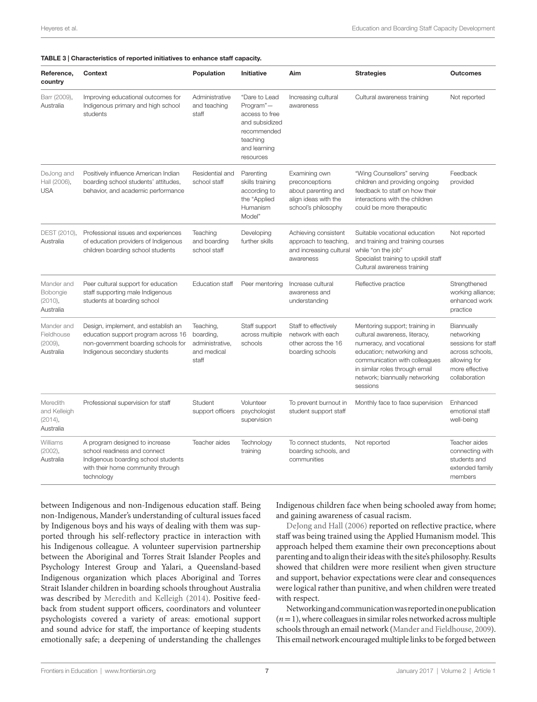<span id="page-6-0"></span>

| TABLE 3   Characteristics of reported initiatives to enhance staff capacity. |  |  |  |  |
|------------------------------------------------------------------------------|--|--|--|--|
|------------------------------------------------------------------------------|--|--|--|--|

| Reference,<br>country                            | <b>Context</b>                                                                                                                                           | Population                                                        | <b>Initiative</b>                                                                                                      | Aim                                                                                                   | <b>Strategies</b>                                                                                                                                                                                                                         | <b>Outcomes</b>                                                                                                      |
|--------------------------------------------------|----------------------------------------------------------------------------------------------------------------------------------------------------------|-------------------------------------------------------------------|------------------------------------------------------------------------------------------------------------------------|-------------------------------------------------------------------------------------------------------|-------------------------------------------------------------------------------------------------------------------------------------------------------------------------------------------------------------------------------------------|----------------------------------------------------------------------------------------------------------------------|
| Barr (2009),<br>Australia                        | Improving educational outcomes for<br>Indigenous primary and high school<br>students                                                                     | Administrative<br>and teaching<br>staff                           | "Dare to Lead<br>Program"-<br>access to free<br>and subsidized<br>recommended<br>teaching<br>and learning<br>resources | Increasing cultural<br>awareness                                                                      | Cultural awareness training                                                                                                                                                                                                               | Not reported                                                                                                         |
| DeJong and<br>Hall (2006),<br><b>USA</b>         | Positively influence American Indian<br>boarding school students' attitudes,<br>behavior, and academic performance                                       | Residential and<br>school staff                                   | Parenting<br>skills training<br>according to<br>the "Applied<br>Humanism<br>Model"                                     | Examining own<br>preconceptions<br>about parenting and<br>align ideas with the<br>school's philosophy | "Wing Counsellors" serving<br>children and providing ongoing<br>feedback to staff on how their<br>interactions with the children<br>could be more therapeutic                                                                             | Feedback<br>provided                                                                                                 |
| DEST (2010),<br>Australia                        | Professional issues and experiences<br>of education providers of Indigenous<br>children boarding school students                                         | Teaching<br>and boarding<br>school staff                          | Developing<br>further skills                                                                                           | Achieving consistent<br>approach to teaching,<br>and increasing cultural<br>awareness                 | Suitable vocational education<br>and training and training courses<br>while "on the job"<br>Specialist training to upskill staff<br>Cultural awareness training                                                                           | Not reported                                                                                                         |
| Mander and<br>Bobongie<br>(2010),<br>Australia   | Peer cultural support for education<br>staff supporting male Indigenous<br>students at boarding school                                                   | <b>Education staff</b>                                            | Peer mentoring                                                                                                         | Increase cultural<br>awareness and<br>understanding                                                   | Reflective practice                                                                                                                                                                                                                       | Strengthened<br>working alliance;<br>enhanced work<br>practice                                                       |
| Mander and<br>Fieldhouse<br>(2009),<br>Australia | Design, implement, and establish an<br>education support program across 16<br>non-government boarding schools for<br>Indigenous secondary students       | Teaching,<br>boarding,<br>administrative,<br>and medical<br>staff | Staff support<br>across multiple<br>schools                                                                            | Staff to effectively<br>network with each<br>other across the 16<br>boarding schools                  | Mentoring support; training in<br>cultural awareness, literacy,<br>numeracy, and vocational<br>education; networking and<br>communication with colleagues<br>in similar roles through email<br>network; biannually networking<br>sessions | Biannually<br>networking<br>sessions for staff<br>across schools,<br>allowing for<br>more effective<br>collaboration |
| Meredith<br>and Kelleigh<br>(2014),<br>Australia | Professional supervision for staff                                                                                                                       | Student<br>support officers                                       | Volunteer<br>psychologist<br>supervision                                                                               | To prevent burnout in<br>student support staff                                                        | Monthly face to face supervision                                                                                                                                                                                                          | Enhanced<br>emotional staff<br>well-being                                                                            |
| Williams<br>(2002),<br>Australia                 | A program designed to increase<br>school readiness and connect<br>Indigenous boarding school students<br>with their home community through<br>technology | Teacher aides                                                     | Technology<br>training                                                                                                 | To connect students,<br>boarding schools, and<br>communities                                          | Not reported                                                                                                                                                                                                                              | Teacher aides<br>connecting with<br>students and<br>extended family<br>members                                       |

between Indigenous and non-Indigenous education staff. Being non-Indigenous, Mander's understanding of cultural issues faced by Indigenous boys and his ways of dealing with them was supported through his self-reflectory practice in interaction with his Indigenous colleague. A volunteer supervision partnership between the Aboriginal and Torres Strait Islander Peoples and Psychology Interest Group and Yalari, a Queensland-based Indigenous organization which places Aboriginal and Torres Strait Islander children in boarding schools throughout Australia was described by [Meredith and Kelleigh \(2014\)](#page-9-27). Positive feedback from student support officers, coordinators and volunteer psychologists covered a variety of areas: emotional support and sound advice for staff, the importance of keeping students emotionally safe; a deepening of understanding the challenges

Indigenous children face when being schooled away from home; and gaining awareness of casual racism.

[DeJong and Hall \(2006\)](#page-8-16) reported on reflective practice, where staff was being trained using the Applied Humanism model. This approach helped them examine their own preconceptions about parenting and to align their ideas with the site's philosophy. Results showed that children were more resilient when given structure and support, behavior expectations were clear and consequences were logical rather than punitive, and when children were treated with respect.

Networking and communication was reported in one publication  $(n = 1)$ , where colleagues in similar roles networked across multiple schools through an email network ([Mander and Fieldhouse, 2009\)](#page-9-16). This email network encouraged multiple links to be forged between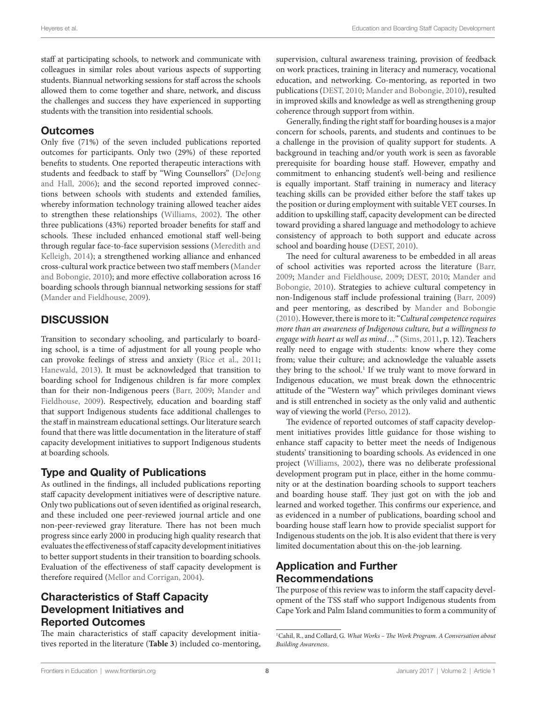staff at participating schools, to network and communicate with colleagues in similar roles about various aspects of supporting students. Biannual networking sessions for staff across the schools allowed them to come together and share, network, and discuss the challenges and success they have experienced in supporting students with the transition into residential schools.

#### **Outcomes**

Only five (71%) of the seven included publications reported outcomes for participants. Only two (29%) of these reported benefits to students. One reported therapeutic interactions with students and feedback to staff by "Wing Counsellors" ([DeJong](#page-8-16) [and Hall, 2006\)](#page-8-16); and the second reported improved connections between schools with students and extended families, whereby information technology training allowed teacher aides to strengthen these relationships [\(Williams, 2002\)](#page-9-26). The other three publications (43%) reported broader benefits for staff and schools. These included enhanced emotional staff well-being through regular face-to-face supervision sessions [\(Meredith and](#page-9-27) [Kelleigh, 2014](#page-9-27)); a strengthened working alliance and enhanced cross-cultural work practice between two staff members ([Mander](#page-9-25) [and Bobongie, 2010](#page-9-25)); and more effective collaboration across 16 boarding schools through biannual networking sessions for staff ([Mander and Fieldhouse, 2009](#page-9-16)).

### **DISCUSSION**

Transition to secondary schooling, and particularly to boarding school, is a time of adjustment for all young people who can provoke feelings of stress and anxiety ([Rice et al., 2011;](#page-9-5) [Hanewald, 2013](#page-9-6)). It must be acknowledged that transition to boarding school for Indigenous children is far more complex than for their non-Indigenous peers ([Barr, 2009](#page-8-12); [Mander and](#page-9-16) [Fieldhouse, 2009](#page-9-16)). Respectively, education and boarding staff that support Indigenous students face additional challenges to the staff in mainstream educational settings. Our literature search found that there was little documentation in the literature of staff capacity development initiatives to support Indigenous students at boarding schools.

#### Type and Quality of Publications

As outlined in the findings, all included publications reporting staff capacity development initiatives were of descriptive nature. Only two publications out of seven identified as original research, and these included one peer-reviewed journal article and one non-peer-reviewed gray literature. There has not been much progress since early 2000 in producing high quality research that evaluates the effectiveness of staff capacity development initiatives to better support students in their transition to boarding schools. Evaluation of the effectiveness of staff capacity development is therefore required ([Mellor and Corrigan, 2004\)](#page-9-28).

#### Characteristics of Staff Capacity Development Initiatives and Reported Outcomes

The main characteristics of staff capacity development initiatives reported in the literature (**[Table 3](#page-6-0)**) included co-mentoring, supervision, cultural awareness training, provision of feedback on work practices, training in literacy and numeracy, vocational education, and networking. Co-mentoring, as reported in two publications ([DEST, 2010;](#page-8-17) [Mander and Bobongie, 2010](#page-9-25)), resulted in improved skills and knowledge as well as strengthening group coherence through support from within.

Generally, finding the right staff for boarding houses is a major concern for schools, parents, and students and continues to be a challenge in the provision of quality support for students. A background in teaching and/or youth work is seen as favorable prerequisite for boarding house staff. However, empathy and commitment to enhancing student's well-being and resilience is equally important. Staff training in numeracy and literacy teaching skills can be provided either before the staff takes up the position or during employment with suitable VET courses. In addition to upskilling staff, capacity development can be directed toward providing a shared language and methodology to achieve consistency of approach to both support and educate across school and boarding house ([DEST, 2010\)](#page-8-17).

The need for cultural awareness to be embedded in all areas of school activities was reported across the literature [\(Barr,](#page-8-12)  [2009](#page-8-12); [Mander and Fieldhouse, 2009;](#page-9-16) [DEST, 2010;](#page-8-17) [Mander and](#page-9-25)  [Bobongie, 2010\)](#page-9-25). Strategies to achieve cultural competency in non-Indigenous staff include professional training ([Barr, 2009\)](#page-8-12) and peer mentoring, as described by [Mander and Bobongie](#page-9-25)  [\(2010\).](#page-9-25) However, there is more to it: "*Cultural competence requires more than an awareness of Indigenous culture, but a willingness to engage with heart as well as mind*…" [\(Sims, 2011,](#page-9-29) p. 12). Teachers really need to engage with students: know where they come from; value their culture; and acknowledge the valuable assets they bring to the school.<sup>1</sup> If we truly want to move forward in Indigenous education, we must break down the ethnocentric attitude of the "Western way" which privileges dominant views and is still entrenched in society as the only valid and authentic way of viewing the world [\(Perso, 2012\)](#page-9-30).

The evidence of reported outcomes of staff capacity development initiatives provides little guidance for those wishing to enhance staff capacity to better meet the needs of Indigenous students' transitioning to boarding schools. As evidenced in one project ([Williams, 2002](#page-9-26)), there was no deliberate professional development program put in place, either in the home community or at the destination boarding schools to support teachers and boarding house staff. They just got on with the job and learned and worked together. This confirms our experience, and as evidenced in a number of publications, boarding school and boarding house staff learn how to provide specialist support for Indigenous students on the job. It is also evident that there is very limited documentation about this on-the-job learning.

### Application and Further Recommendations

The purpose of this review was to inform the staff capacity development of the TSS staff who support Indigenous students from Cape York and Palm Island communities to form a community of

<span id="page-7-0"></span><sup>1</sup>Cahil, R., and Collard, G. *What Works – The Work Program. A Conversation about Building Awareness*.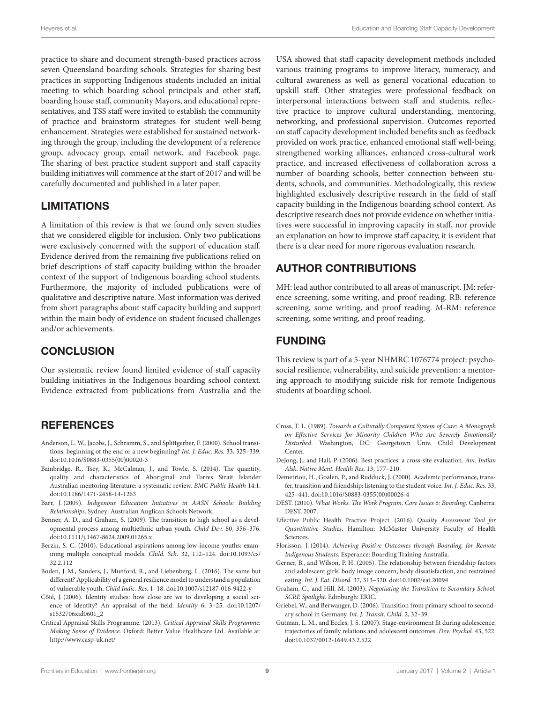practice to share and document strength-based practices across seven Queensland boarding schools. Strategies for sharing best practices in supporting Indigenous students included an initial meeting to which boarding school principals and other staff, boarding house staff, community Mayors, and educational representatives, and TSS staff were invited to establish the community of practice and brainstorm strategies for student well-being enhancement. Strategies were established for sustained networking through the group, including the development of a reference group, advocacy group, email network, and Facebook page. The sharing of best practice student support and staff capacity building initiatives will commence at the start of 2017 and will be carefully documented and published in a later paper.

#### LIMITATIONS

A limitation of this review is that we found only seven studies that we considered eligible for inclusion. Only two publications were exclusively concerned with the support of education staff. Evidence derived from the remaining five publications relied on brief descriptions of staff capacity building within the broader context of the support of Indigenous boarding school students. Furthermore, the majority of included publications were of qualitative and descriptive nature. Most information was derived from short paragraphs about staff capacity building and support within the main body of evidence on student focused challenges and/or achievements.

# **CONCLUSION**

Our systematic review found limited evidence of staff capacity building initiatives in the Indigenous boarding school context. Evidence extracted from publications from Australia and the

#### REFERENCES

- <span id="page-8-0"></span>Anderson, L. W., Jacobs, J., Schramm, S., and Splittgerber, F. (2000). School transitions: beginning of the end or a new beginning? *Int. J. Educ. Res.* 33, 325–339. doi:[10.1016/S0883-0355\(00\)00020-3](https://doi.org/10.1016/S0883-0355(00)00020-3)
- <span id="page-8-13"></span>Bainbridge, R., Tsey, K., McCalman, J., and Towle, S. (2014). The quantity, quality and characteristics of Aboriginal and Torres Strait Islander Australian mentoring literature: a systematic review. *BMC Public Health* 14:1. doi:[10.1186/1471-2458-14-1263](https://doi.org/10.1186/1471-2458-14-1263)
- <span id="page-8-12"></span>Barr, J. (2009). *Indigenous Education Initiatives in AASN Schools: Building Relationships*. Sydney: Australian Anglican Schools Network.
- <span id="page-8-3"></span>Benner, A. D., and Graham, S. (2009). The transition to high school as a developmental process among multiethnic urban youth. *Child Dev.* 80, 356–376. doi:[10.1111/j.1467-8624.2009.01265.x](https://doi.org/10.1111/j.1467-8624.2009.01265.x)
- <span id="page-8-7"></span>Berzin, S. C. (2010). Educational aspirations among low-income youths: examining multiple conceptual models. *Child. Sch.* 32, 112–124. doi:[10.1093/cs/](https://doi.org/10.1093/cs/32.2.112) [32.2.112](https://doi.org/10.1093/cs/32.2.112)
- <span id="page-8-5"></span>Boden, J. M., Sanders, J., Munford, R., and Liebenberg, L. (2016). The same but different? Applicability of a general resilience model to understand a population of vulnerable youth. *Child Indic. Res.* 1–18. doi:[10.1007/s12187-016-9422-y](https://doi.org/10.1007/s12187-016-9422-y)
- <span id="page-8-6"></span>Côté, J. (2006). Identity studies: how close are we to developing a social science of identity? An appraisal of the field. *Identity* 6, 3–25. doi[:10.1207/](https://doi.org/10.1207/s1532706xid0601_2) [s1532706xid0601\\_2](https://doi.org/10.1207/s1532706xid0601_2)
- <span id="page-8-15"></span>Critical Appraisal Skills Programme. (2013). *Critical Appraisal Skills Programme: Making Sense of Evidence*. Oxford: Better Value Healthcare Ltd. Available at: <http://www.casp-uk.net/>

USA showed that staff capacity development methods included various training programs to improve literacy, numeracy, and cultural awareness as well as general vocational education to upskill staff. Other strategies were professional feedback on interpersonal interactions between staff and students, reflective practice to improve cultural understanding, mentoring, networking, and professional supervision. Outcomes reported on staff capacity development included benefits such as feedback provided on work practice, enhanced emotional staff well-being, strengthened working alliances, enhanced cross-cultural work practice, and increased effectiveness of collaboration across a number of boarding schools, better connection between students, schools, and communities. Methodologically, this review highlighted exclusively descriptive research in the field of staff capacity building in the Indigenous boarding school context. As descriptive research does not provide evidence on whether initiatives were successful in improving capacity in staff, nor provide an explanation on how to improve staff capacity, it is evident that there is a clear need for more rigorous evaluation research.

# AUTHOR CONTRIBUTIONS

MH: lead author contributed to all areas of manuscript. JM: reference screening, some writing, and proof reading. RB: reference screening, some writing, and proof reading. M-RM: reference screening, some writing, and proof reading.

### FUNDING

This review is part of a 5-year NHMRC 1076774 project: psychosocial resilience, vulnerability, and suicide prevention: a mentoring approach to modifying suicide risk for remote Indigenous students at boarding school.

- <span id="page-8-10"></span>Cross, T. L. (1989). *Towards a Culturally Competent System of Care: A Monograph on Effective Services for Minority Children Who Are Severely Emotionally Disturbed*. Washington, DC: Georgetown Univ. Child Development Center.
- <span id="page-8-16"></span>DeJong, J., and Hall, P. (2006). Best practices: a cross-site evaluation. *Am. Indian Alsk. Native Ment. Health Res.* 13, 177–210.
- <span id="page-8-2"></span>Demetriou, H., Goalen, P., and Rudduck, J. (2000). Academic performance, transfer, transition and friendship: listening to the student voice. *Int. J. Educ. Res.* 33, 425–441. doi[:10.1016/S0883-0355\(00\)00026-4](https://doi.org/10.1016/S0883-0355(00)00026-4)
- <span id="page-8-17"></span>DEST. (2010). *What Works. The Work Program. Core Issues 6: Boarding*. Canberra: DEST, 2007.
- <span id="page-8-14"></span>Effective Public Health Practice Project. (2016). *Quality Assessment Tool for Quantitative Studies*. Hamilton: McMaster University Faculty of Health Sciences.
- <span id="page-8-11"></span>Florisson, J. (2014). *Achieving Positive Outcomes through Boarding, for Remote Indigenous Students*. Esperance: Boarding Training Australia.
- <span id="page-8-1"></span>Gerner, B., and Wilson, P. H. (2005). The relationship between friendship factors and adolescent girls' body image concern, body dissatisfaction, and restrained eating. *Int. J. Eat. Disord.* 37, 313–320. doi:[10.1002/eat.20094](https://doi.org/10.1002/eat.20094)
- <span id="page-8-4"></span>Graham, C., and Hill, M. (2003). *Negotiating the Transition to Secondary School. SCRE Spotlight*. Edinburgh: ERIC.
- <span id="page-8-9"></span>Griebel, W., and Berwanger, D. (2006). Transition from primary school to secondary school in Germany. *Int. J. Transit. Child.* 2, 32–39.
- <span id="page-8-8"></span>Gutman, L. M., and Eccles, J. S. (2007). Stage-environment fit during adolescence: trajectories of family relations and adolescent outcomes. *Dev. Psychol.* 43, 522. doi[:10.1037/0012-1649.43.2.522](https://doi.org/10.1037/0012-1649.43.2.522)